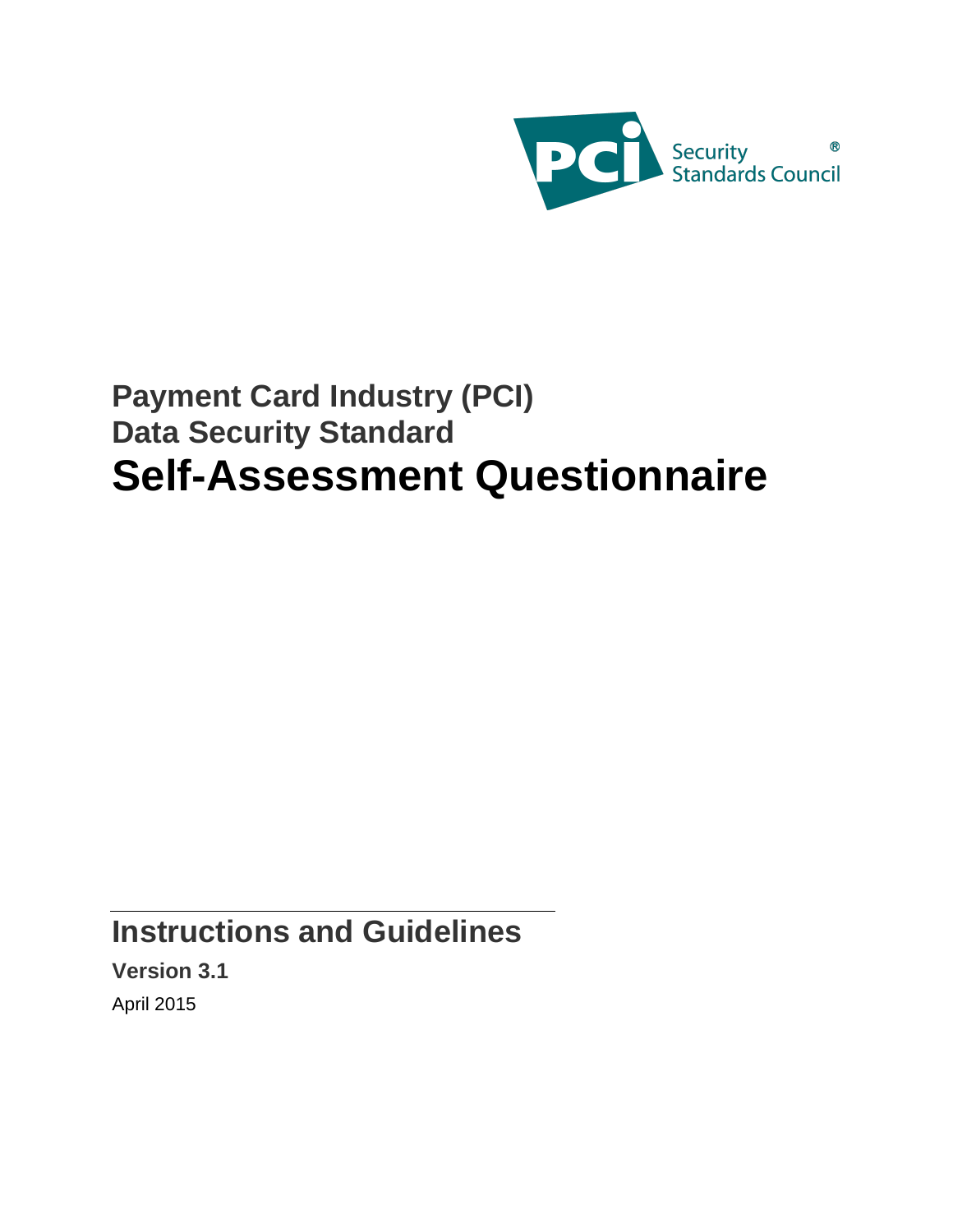

# **Payment Card Industry (PCI) Data Security Standard Self-Assessment Questionnaire**

**Instructions and Guidelines**

**Version 3.1** April 2015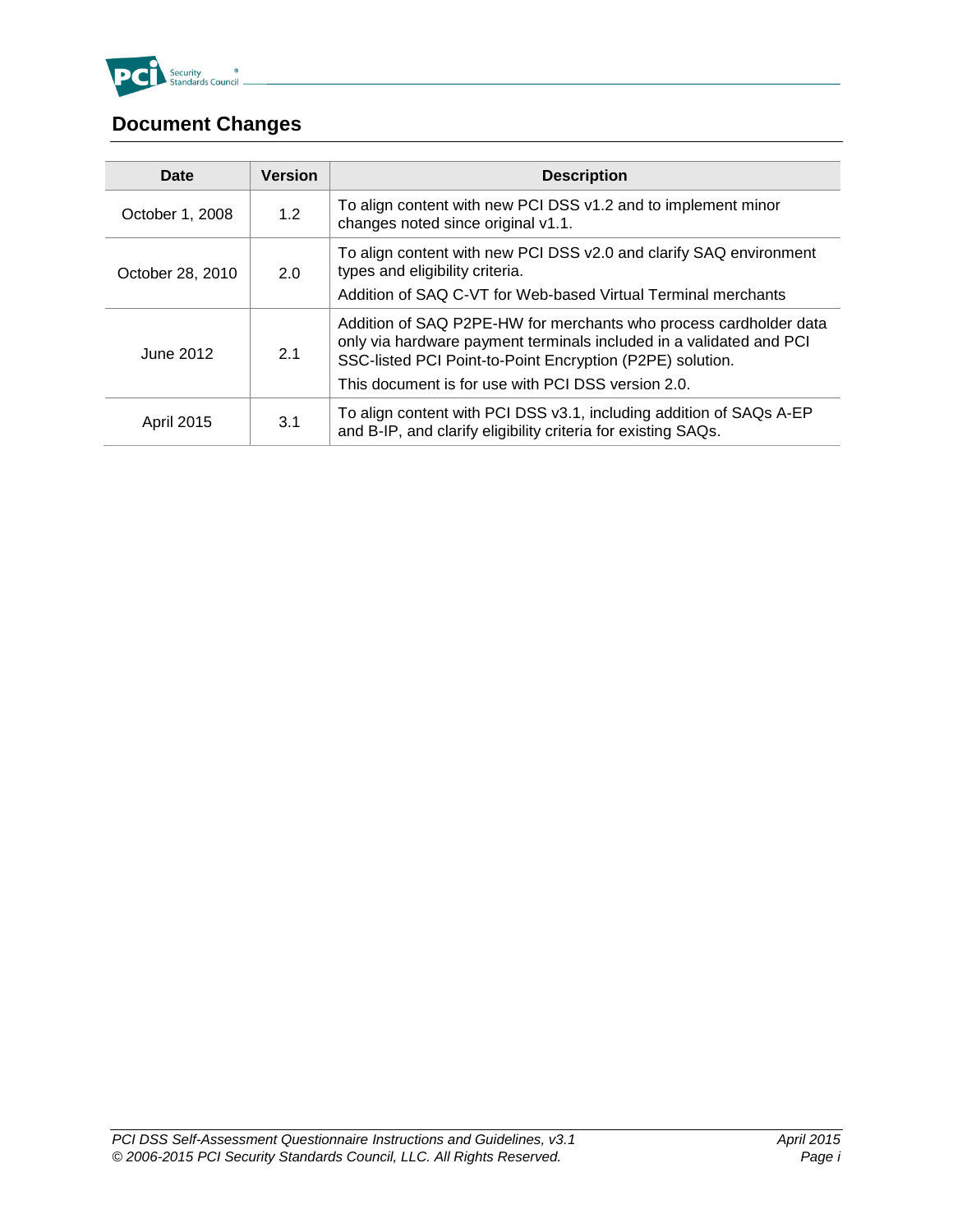

# <span id="page-1-0"></span>**Document Changes**

| <b>Date</b>       | <b>Version</b> | <b>Description</b>                                                                                                                                                                                                                                          |
|-------------------|----------------|-------------------------------------------------------------------------------------------------------------------------------------------------------------------------------------------------------------------------------------------------------------|
| October 1, 2008   | 1.2            | To align content with new PCI DSS v1.2 and to implement minor<br>changes noted since original v1.1.                                                                                                                                                         |
| October 28, 2010  | 2.0            | To align content with new PCI DSS v2.0 and clarify SAQ environment<br>types and eligibility criteria.<br>Addition of SAQ C-VT for Web-based Virtual Terminal merchants                                                                                      |
| June 2012         | 2.1            | Addition of SAQ P2PE-HW for merchants who process cardholder data<br>only via hardware payment terminals included in a validated and PCI<br>SSC-listed PCI Point-to-Point Encryption (P2PE) solution.<br>This document is for use with PCI DSS version 2.0. |
| <b>April 2015</b> | 3.1            | To align content with PCI DSS v3.1, including addition of SAQs A-EP<br>and B-IP, and clarify eligibility criteria for existing SAQs.                                                                                                                        |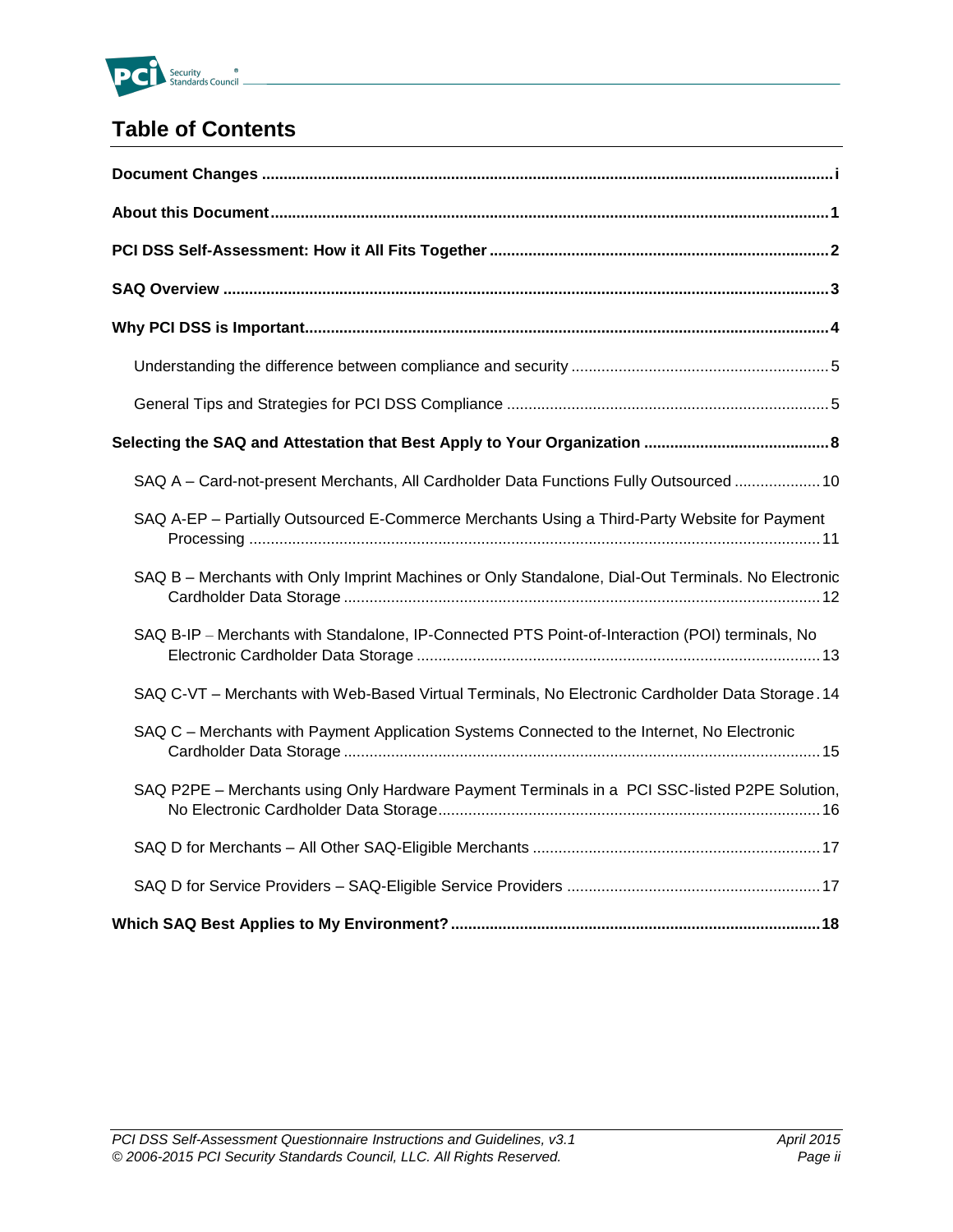

## **Table of Contents**

| SAQ A - Card-not-present Merchants, All Cardholder Data Functions Fully Outsourced  10             |
|----------------------------------------------------------------------------------------------------|
| SAQ A-EP - Partially Outsourced E-Commerce Merchants Using a Third-Party Website for Payment       |
| SAQ B - Merchants with Only Imprint Machines or Only Standalone, Dial-Out Terminals. No Electronic |
| SAQ B-IP - Merchants with Standalone, IP-Connected PTS Point-of-Interaction (POI) terminals, No    |
| SAQ C-VT - Merchants with Web-Based Virtual Terminals, No Electronic Cardholder Data Storage. 14   |
| SAQ C - Merchants with Payment Application Systems Connected to the Internet, No Electronic        |
| SAQ P2PE - Merchants using Only Hardware Payment Terminals in a PCI SSC-listed P2PE Solution,      |
|                                                                                                    |
|                                                                                                    |
|                                                                                                    |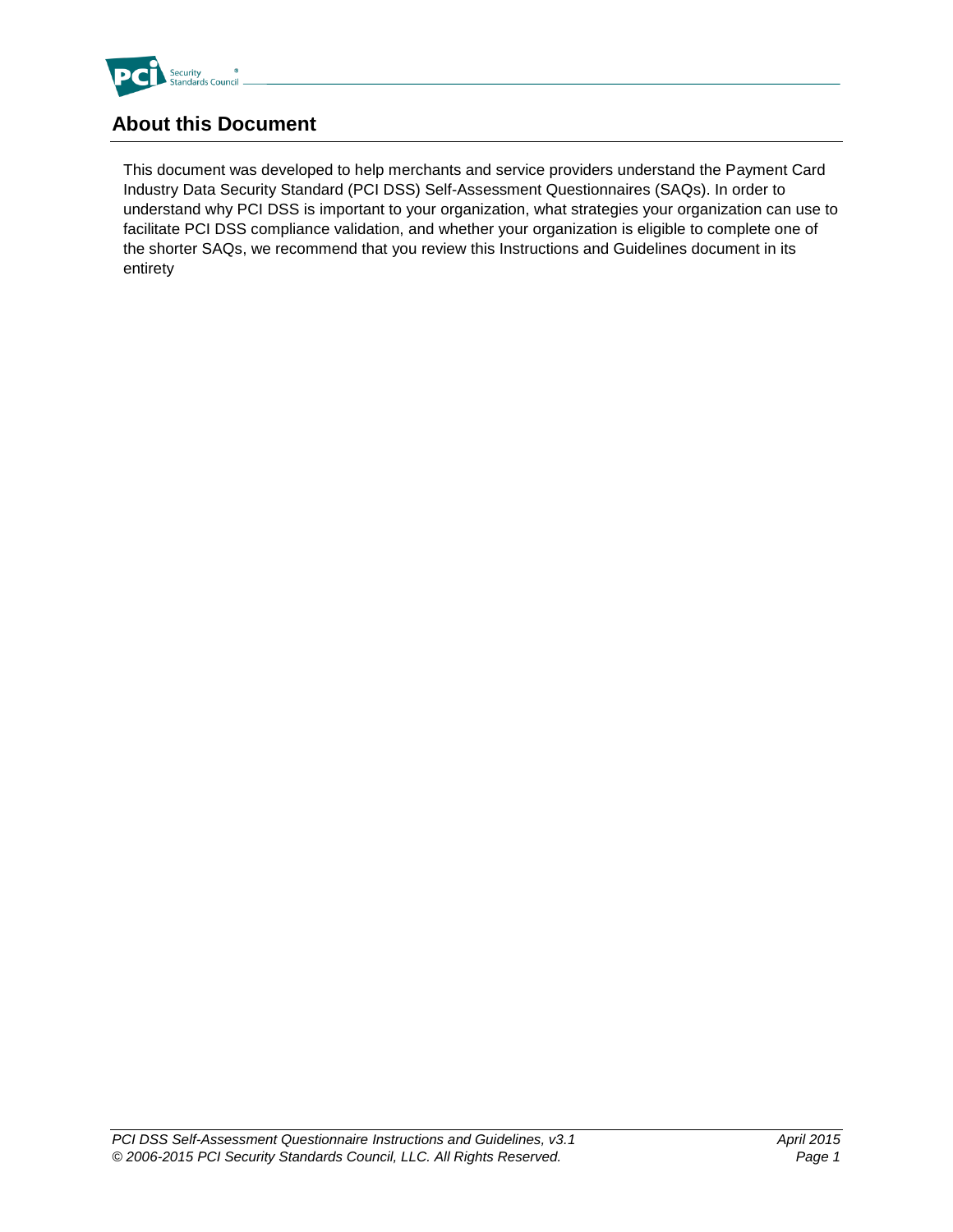

## <span id="page-3-0"></span>**About this Document**

This document was developed to help merchants and service providers understand the Payment Card Industry Data Security Standard (PCI DSS) Self-Assessment Questionnaires (SAQs). In order to understand why PCI DSS is important to your organization, what strategies your organization can use to facilitate PCI DSS compliance validation, and whether your organization is eligible to complete one of the shorter SAQs, we recommend that you review this Instructions and Guidelines document in its entirety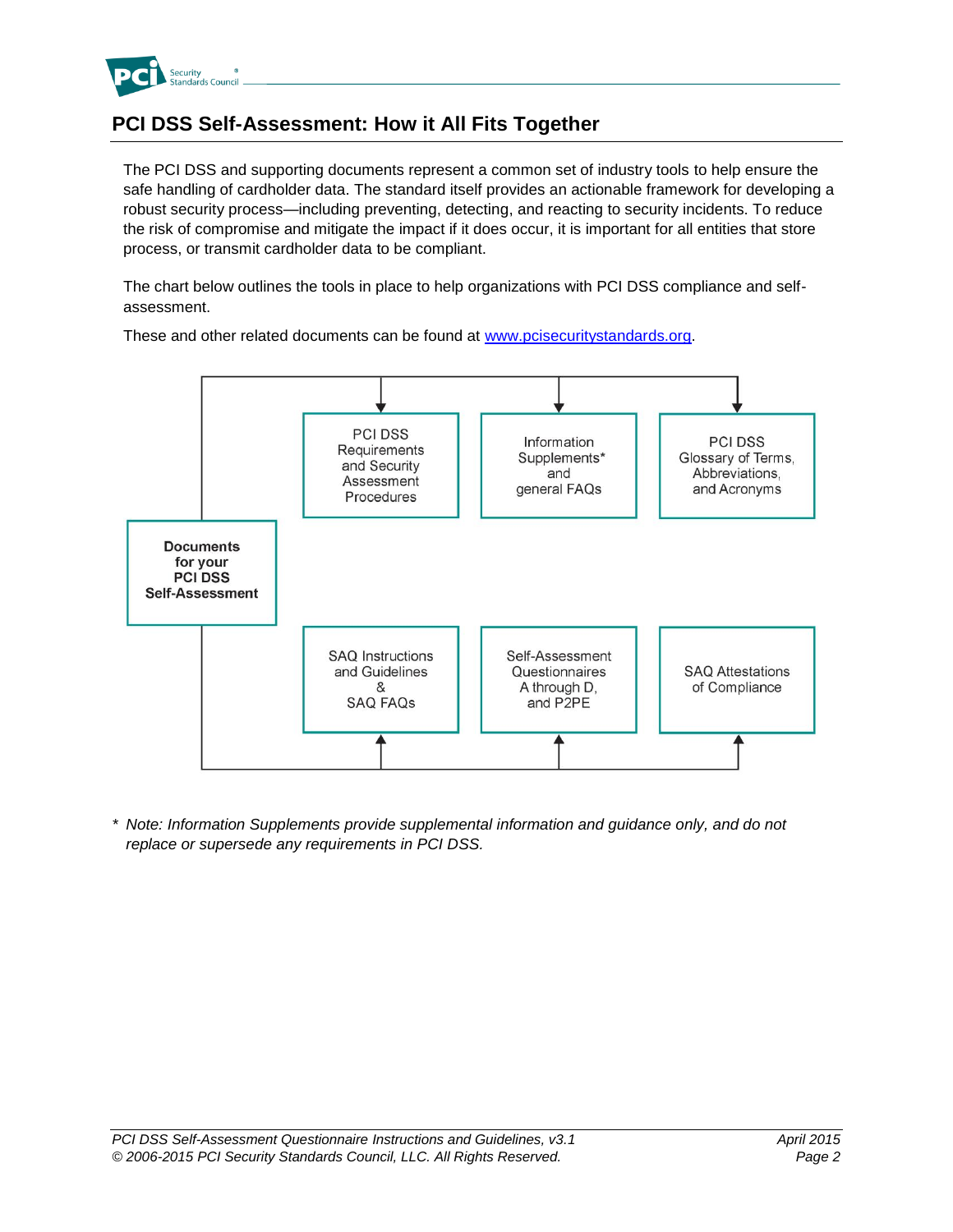

## <span id="page-4-0"></span>**PCI DSS Self-Assessment: How it All Fits Together**

The PCI DSS and supporting documents represent a common set of industry tools to help ensure the safe handling of cardholder data. The standard itself provides an actionable framework for developing a robust security process—including preventing, detecting, and reacting to security incidents. To reduce the risk of compromise and mitigate the impact if it does occur, it is important for all entities that store process, or transmit cardholder data to be compliant.

The chart below outlines the tools in place to help organizations with PCI DSS compliance and selfassessment.



These and other related documents can be found at [www.pcisecuritystandards.org.](http://www.pcisecuritystandards.org/)

*\* Note: Information Supplements provide supplemental information and guidance only, and do not replace or supersede any requirements in PCI DSS.*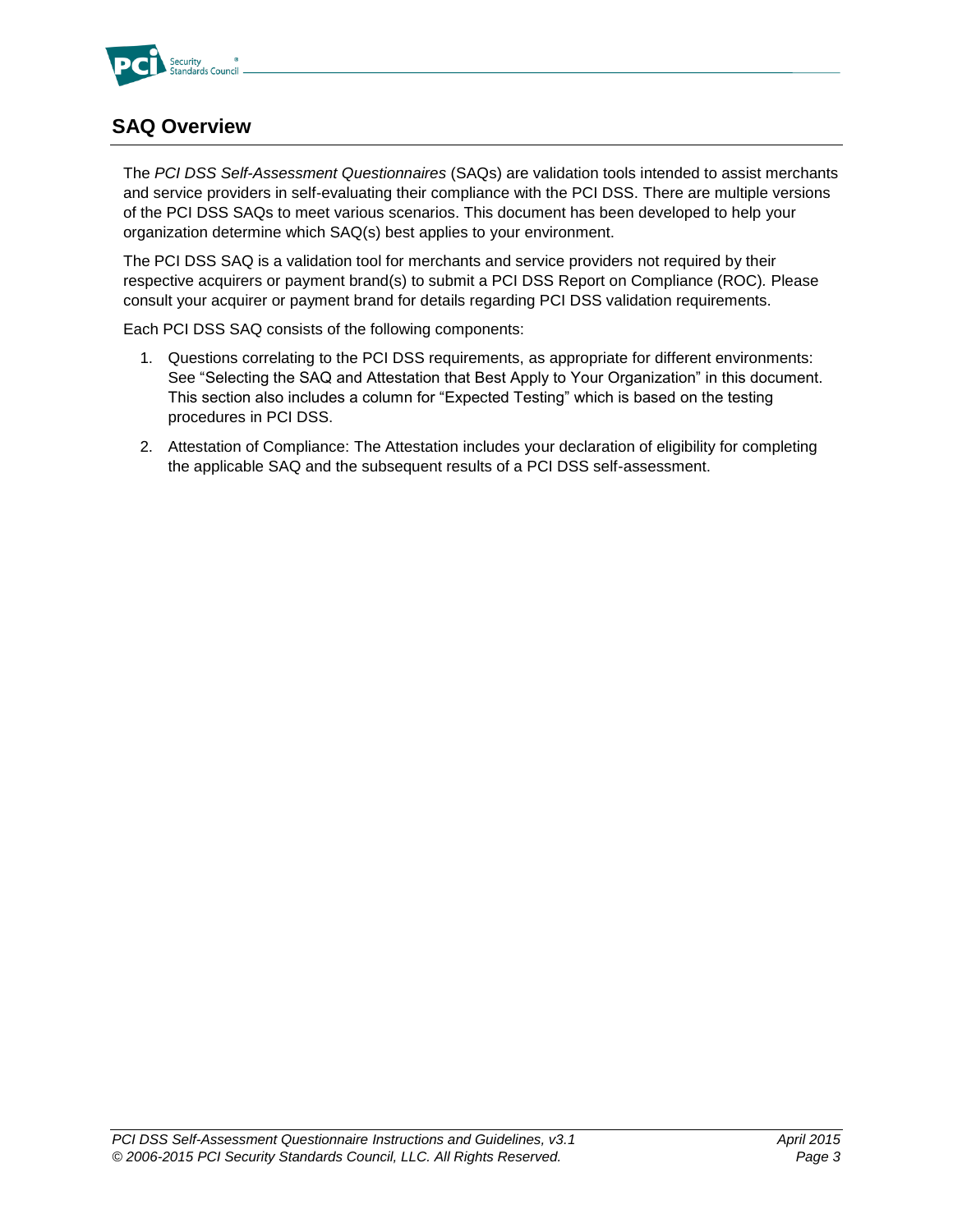

## <span id="page-5-0"></span>**SAQ Overview**

The *PCI DSS Self-Assessment Questionnaires* (SAQs) are validation tools intended to assist merchants and service providers in self-evaluating their compliance with the PCI DSS. There are multiple versions of the PCI DSS SAQs to meet various scenarios. This document has been developed to help your organization determine which SAQ(s) best applies to your environment.

The PCI DSS SAQ is a validation tool for merchants and service providers not required by their respective acquirers or payment brand(s) to submit a PCI DSS Report on Compliance (ROC)*.* Please consult your acquirer or payment brand for details regarding PCI DSS validation requirements.

Each PCI DSS SAQ consists of the following components:

- 1. Questions correlating to the PCI DSS requirements, as appropriate for different environments: See "Selecting the SAQ and Attestation that Best Apply to Your Organization" in this document. This section also includes a column for "Expected Testing" which is based on the testing procedures in PCI DSS.
- 2. Attestation of Compliance: The Attestation includes your declaration of eligibility for completing the applicable SAQ and the subsequent results of a PCI DSS self-assessment.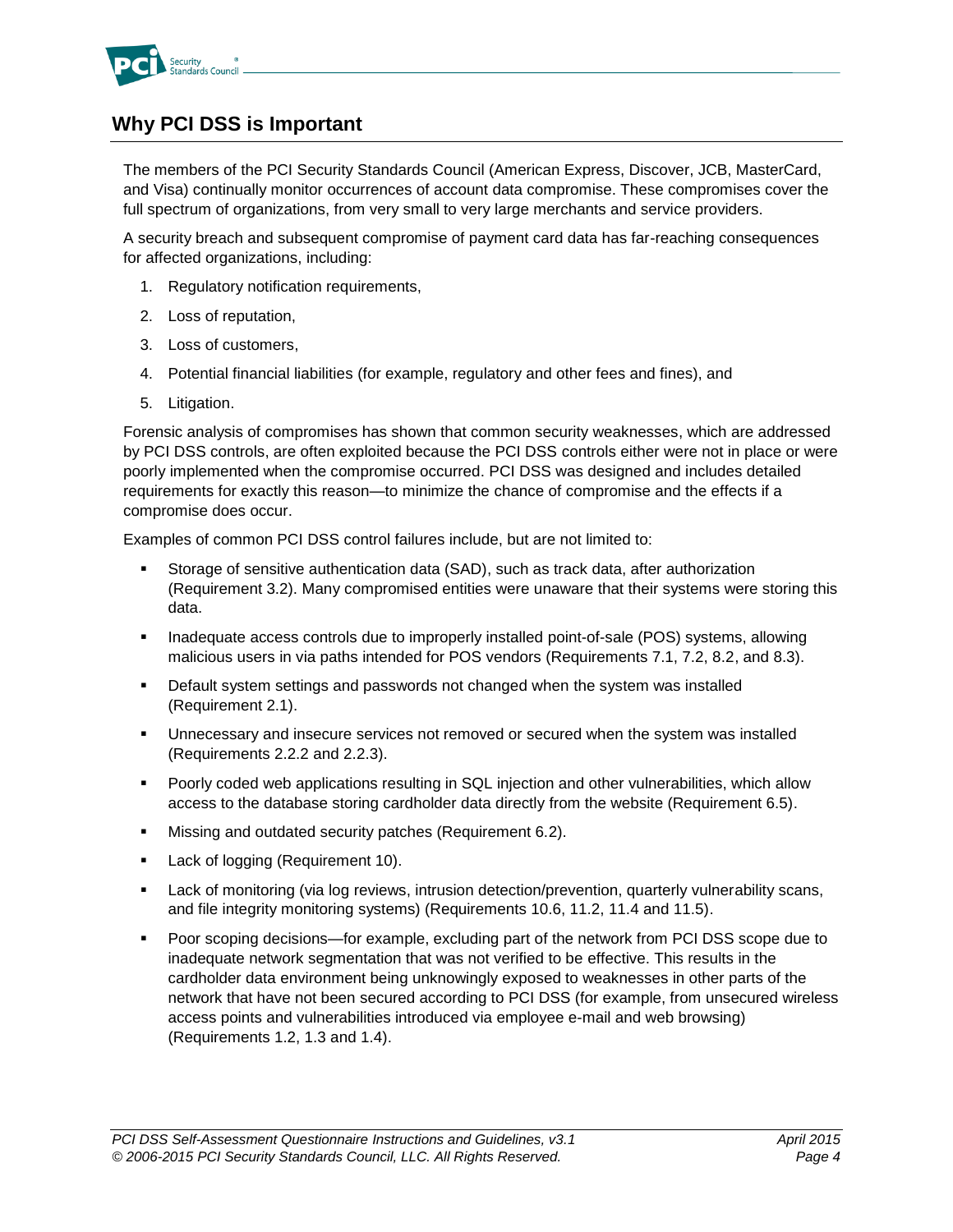

## <span id="page-6-0"></span>**Why PCI DSS is Important**

The members of the PCI Security Standards Council (American Express, Discover, JCB, MasterCard, and Visa) continually monitor occurrences of account data compromise. These compromises cover the full spectrum of organizations, from very small to very large merchants and service providers.

A security breach and subsequent compromise of payment card data has far-reaching consequences for affected organizations, including:

- 1. Regulatory notification requirements,
- 2. Loss of reputation,
- 3. Loss of customers,
- 4. Potential financial liabilities (for example, regulatory and other fees and fines), and
- 5. Litigation.

Forensic analysis of compromises has shown that common security weaknesses, which are addressed by PCI DSS controls, are often exploited because the PCI DSS controls either were not in place or were poorly implemented when the compromise occurred. PCI DSS was designed and includes detailed requirements for exactly this reason—to minimize the chance of compromise and the effects if a compromise does occur.

Examples of common PCI DSS control failures include, but are not limited to:

- Storage of sensitive authentication data (SAD), such as track data, after authorization (Requirement 3.2). Many compromised entities were unaware that their systems were storing this data.
- **Inadequate access controls due to improperly installed point-of-sale (POS) systems, allowing** malicious users in via paths intended for POS vendors (Requirements 7.1, 7.2, 8.2, and 8.3).
- Default system settings and passwords not changed when the system was installed (Requirement 2.1).
- Unnecessary and insecure services not removed or secured when the system was installed (Requirements 2.2.2 and 2.2.3).
- Poorly coded web applications resulting in SQL injection and other vulnerabilities, which allow access to the database storing cardholder data directly from the website (Requirement 6.5).
- **Missing and outdated security patches (Requirement 6.2).**
- **Lack of logging (Requirement 10).**
- **EXECT ACCO TERGO FILMO TERGO FILMO FILMO FILMO FILMO FILMO FILMO FILMO FILMO FILMO FILMO FILMO FILMO FILMO FILMO FILMO FILMO FILMO FILMO FILMO FILMO FILMO FILMO FILMO FILMO FILMO FILMO FILMO FILMO FILMO FILMO FILMO FILMO** and file integrity monitoring systems) (Requirements 10.6, 11.2, 11.4 and 11.5).
- Poor scoping decisions—for example, excluding part of the network from PCI DSS scope due to inadequate network segmentation that was not verified to be effective. This results in the cardholder data environment being unknowingly exposed to weaknesses in other parts of the network that have not been secured according to PCI DSS (for example, from unsecured wireless access points and vulnerabilities introduced via employee e-mail and web browsing) (Requirements 1.2, 1.3 and 1.4).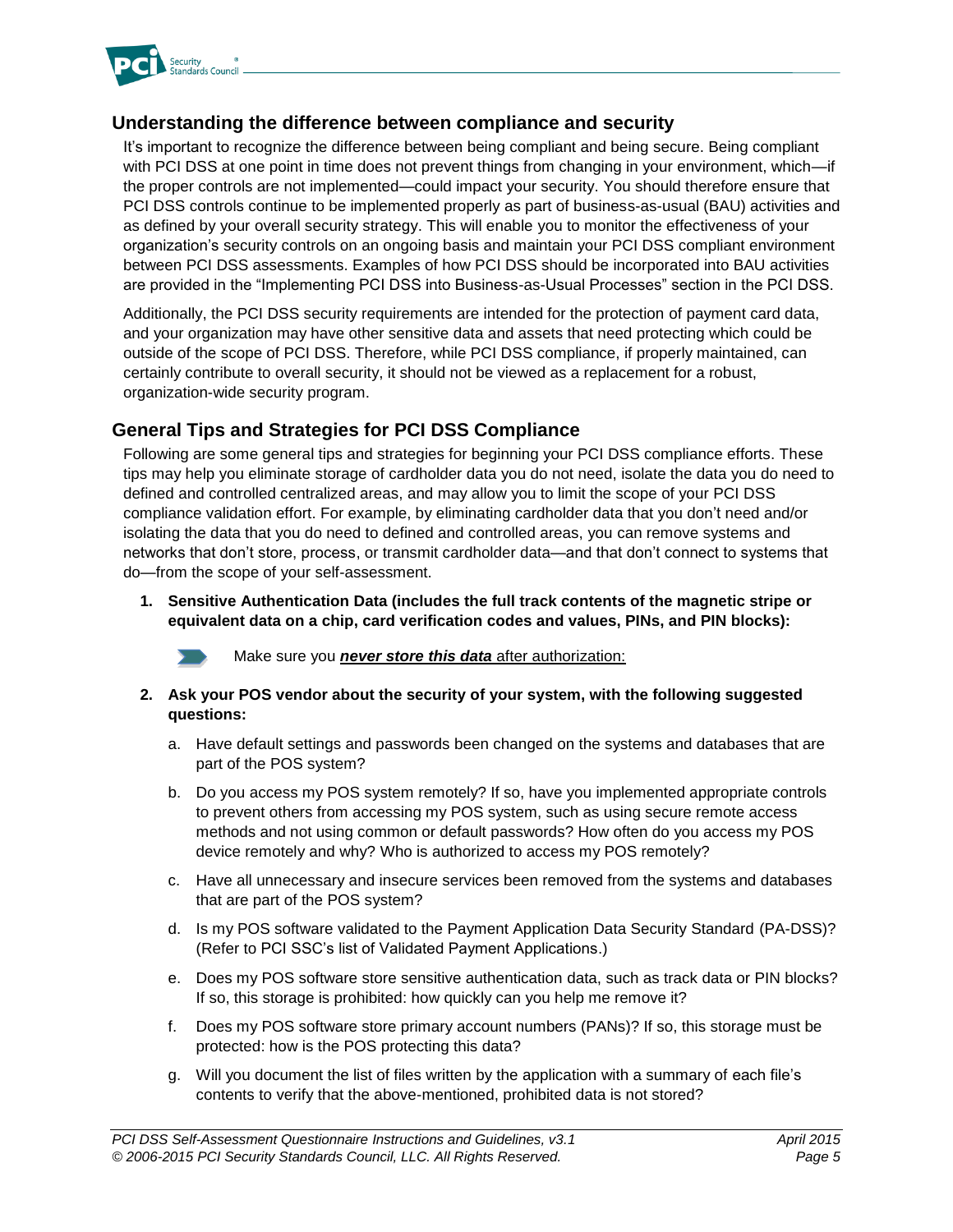

#### <span id="page-7-0"></span>**Understanding the difference between compliance and security**

It's important to recognize the difference between being compliant and being secure. Being compliant with PCI DSS at one point in time does not prevent things from changing in your environment, which—if the proper controls are not implemented—could impact your security. You should therefore ensure that PCI DSS controls continue to be implemented properly as part of business-as-usual (BAU) activities and as defined by your overall security strategy. This will enable you to monitor the effectiveness of your organization's security controls on an ongoing basis and maintain your PCI DSS compliant environment between PCI DSS assessments. Examples of how PCI DSS should be incorporated into BAU activities are provided in the "Implementing PCI DSS into Business-as-Usual Processes" section in the PCI DSS.

Additionally, the PCI DSS security requirements are intended for the protection of payment card data, and your organization may have other sensitive data and assets that need protecting which could be outside of the scope of PCI DSS. Therefore, while PCI DSS compliance, if properly maintained, can certainly contribute to overall security, it should not be viewed as a replacement for a robust, organization-wide security program.

#### <span id="page-7-1"></span>**General Tips and Strategies for PCI DSS Compliance**

Following are some general tips and strategies for beginning your PCI DSS compliance efforts. These tips may help you eliminate storage of cardholder data you do not need, isolate the data you do need to defined and controlled centralized areas, and may allow you to limit the scope of your PCI DSS compliance validation effort. For example, by eliminating cardholder data that you don't need and/or isolating the data that you do need to defined and controlled areas, you can remove systems and networks that don't store, process, or transmit cardholder data—and that don't connect to systems that do—from the scope of your self-assessment.

**1. Sensitive Authentication Data (includes the full track contents of the magnetic stripe or equivalent data on a chip, card verification codes and values, PINs, and PIN blocks):** 



Make sure you *never store this data* after authorization:

- **2. Ask your POS vendor about the security of your system, with the following suggested questions:**
	- a. Have default settings and passwords been changed on the systems and databases that are part of the POS system?
	- b. Do you access my POS system remotely? If so, have you implemented appropriate controls to prevent others from accessing my POS system, such as using secure remote access methods and not using common or default passwords? How often do you access my POS device remotely and why? Who is authorized to access my POS remotely?
	- c. Have all unnecessary and insecure services been removed from the systems and databases that are part of the POS system?
	- d. Is my POS software validated to the Payment Application Data Security Standard (PA-DSS)? (Refer to PCI SSC's list of Validated Payment Applications.)
	- e. Does my POS software store sensitive authentication data, such as track data or PIN blocks? If so, this storage is prohibited: how quickly can you help me remove it?
	- f. Does my POS software store primary account numbers (PANs)? If so, this storage must be protected: how is the POS protecting this data?
	- g. Will you document the list of files written by the application with a summary of each file's contents to verify that the above-mentioned, prohibited data is not stored?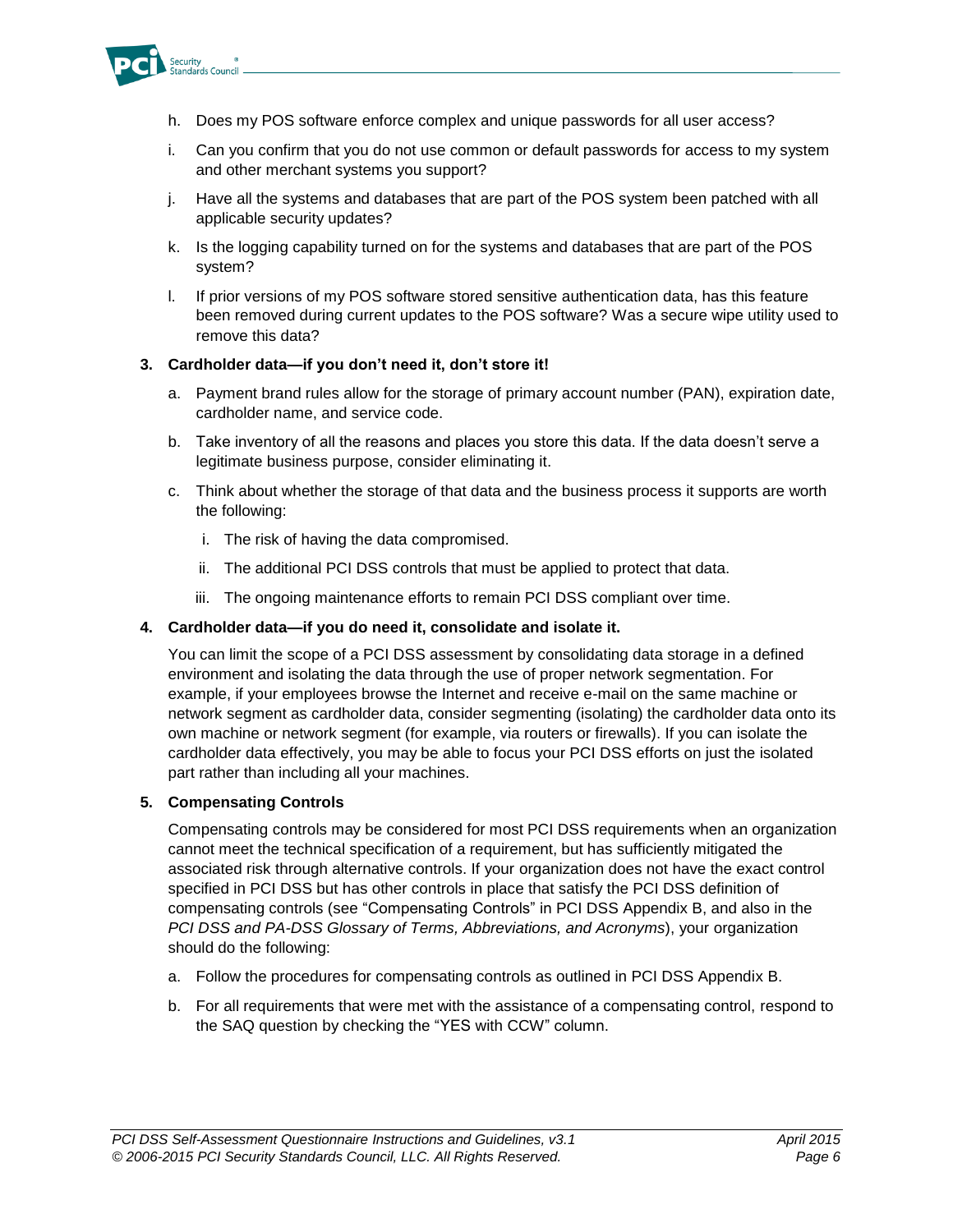

- h. Does my POS software enforce complex and unique passwords for all user access?
- i. Can you confirm that you do not use common or default passwords for access to my system and other merchant systems you support?
- j. Have all the systems and databases that are part of the POS system been patched with all applicable security updates?
- k. Is the logging capability turned on for the systems and databases that are part of the POS system?
- l. If prior versions of my POS software stored sensitive authentication data, has this feature been removed during current updates to the POS software? Was a secure wipe utility used to remove this data?

#### **3. Cardholder data—if you don't need it, don't store it!**

- a. Payment brand rules allow for the storage of primary account number (PAN), expiration date, cardholder name, and service code.
- b. Take inventory of all the reasons and places you store this data. If the data doesn't serve a legitimate business purpose, consider eliminating it.
- c. Think about whether the storage of that data and the business process it supports are worth the following:
	- i. The risk of having the data compromised.
	- ii. The additional PCI DSS controls that must be applied to protect that data.
	- iii. The ongoing maintenance efforts to remain PCI DSS compliant over time.

#### **4. Cardholder data—if you do need it, consolidate and isolate it.**

You can limit the scope of a PCI DSS assessment by consolidating data storage in a defined environment and isolating the data through the use of proper network segmentation. For example, if your employees browse the Internet and receive e-mail on the same machine or network segment as cardholder data, consider segmenting (isolating) the cardholder data onto its own machine or network segment (for example, via routers or firewalls). If you can isolate the cardholder data effectively, you may be able to focus your PCI DSS efforts on just the isolated part rather than including all your machines.

#### **5. Compensating Controls**

Compensating controls may be considered for most PCI DSS requirements when an organization cannot meet the technical specification of a requirement, but has sufficiently mitigated the associated risk through alternative controls. If your organization does not have the exact control specified in PCI DSS but has other controls in place that satisfy the PCI DSS definition of compensating controls (see "Compensating Controls" in PCI DSS Appendix B, and also in the *PCI DSS and PA-DSS Glossary of Terms, Abbreviations, and Acronyms*), your organization should do the following:

- a. Follow the procedures for compensating controls as outlined in PCI DSS Appendix B.
- b. For all requirements that were met with the assistance of a compensating control, respond to the SAQ question by checking the "YES with CCW" column.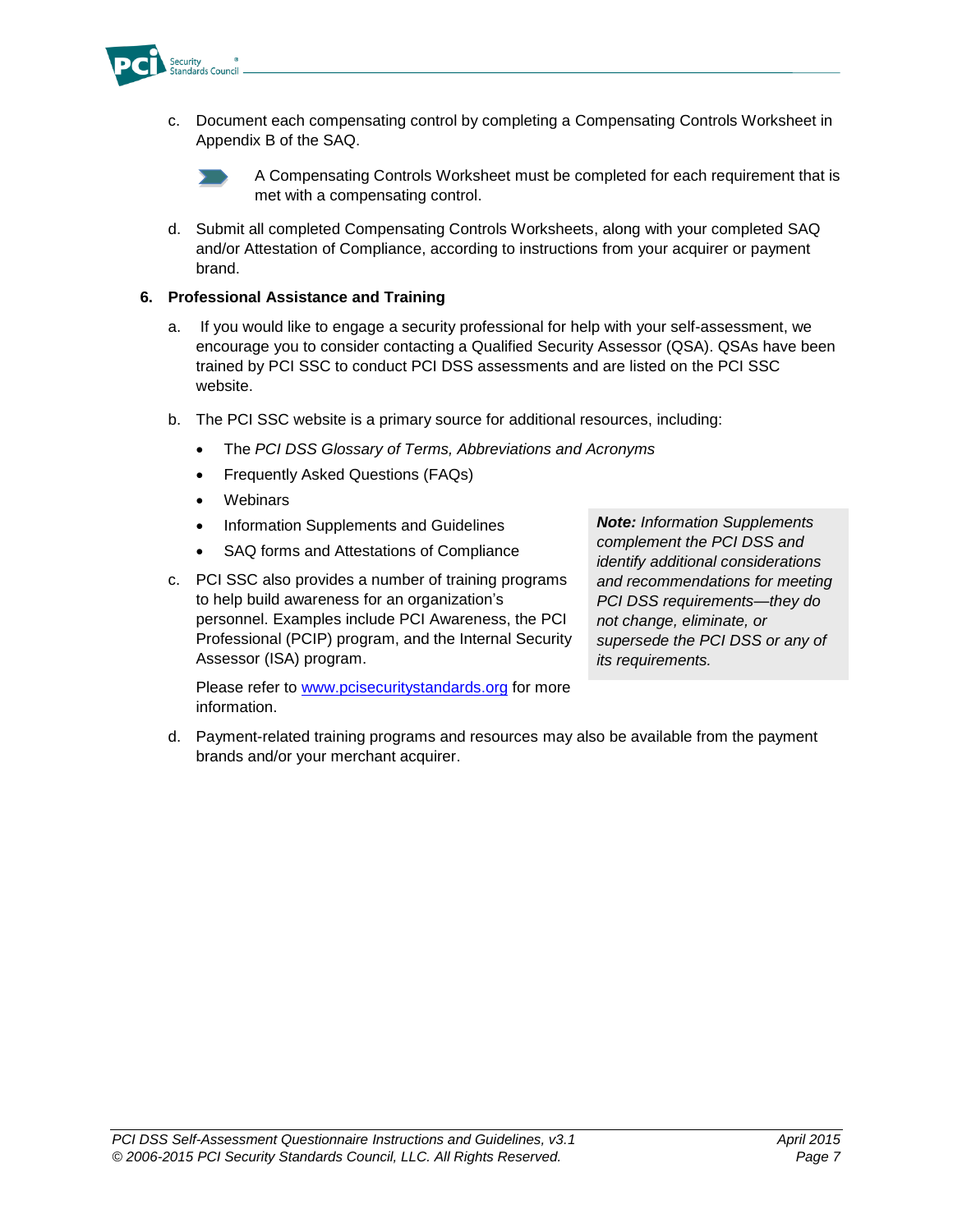

c. Document each compensating control by completing a Compensating Controls Worksheet in Appendix B of the SAQ.



A Compensating Controls Worksheet must be completed for each requirement that is met with a compensating control.

d. Submit all completed Compensating Controls Worksheets, along with your completed SAQ and/or Attestation of Compliance, according to instructions from your acquirer or payment brand.

#### **6. Professional Assistance and Training**

- a. If you would like to engage a security professional for help with your self-assessment, we encourage you to consider contacting a Qualified Security Assessor (QSA). QSAs have been trained by PCI SSC to conduct PCI DSS assessments and are listed on the PCI SSC website.
- b. The PCI SSC website is a primary source for additional resources, including:
	- The *PCI DSS Glossary of Terms, Abbreviations and Acronyms*
	- Frequently Asked Questions (FAQs)
	- Webinars
	- Information Supplements and Guidelines
	- SAQ forms and Attestations of Compliance
- c. PCI SSC also provides a number of training programs to help build awareness for an organization's personnel. Examples include PCI Awareness, the PCI Professional (PCIP) program, and the Internal Security Assessor (ISA) program.

Please refer to [www.pcisecuritystandards.org](http://www.pcisecuritystandards.org/) for more information.

*Note: Information Supplements complement the PCI DSS and identify additional considerations and recommendations for meeting PCI DSS requirements—they do not change, eliminate, or supersede the PCI DSS or any of its requirements.*

d. Payment-related training programs and resources may also be available from the payment brands and/or your merchant acquirer.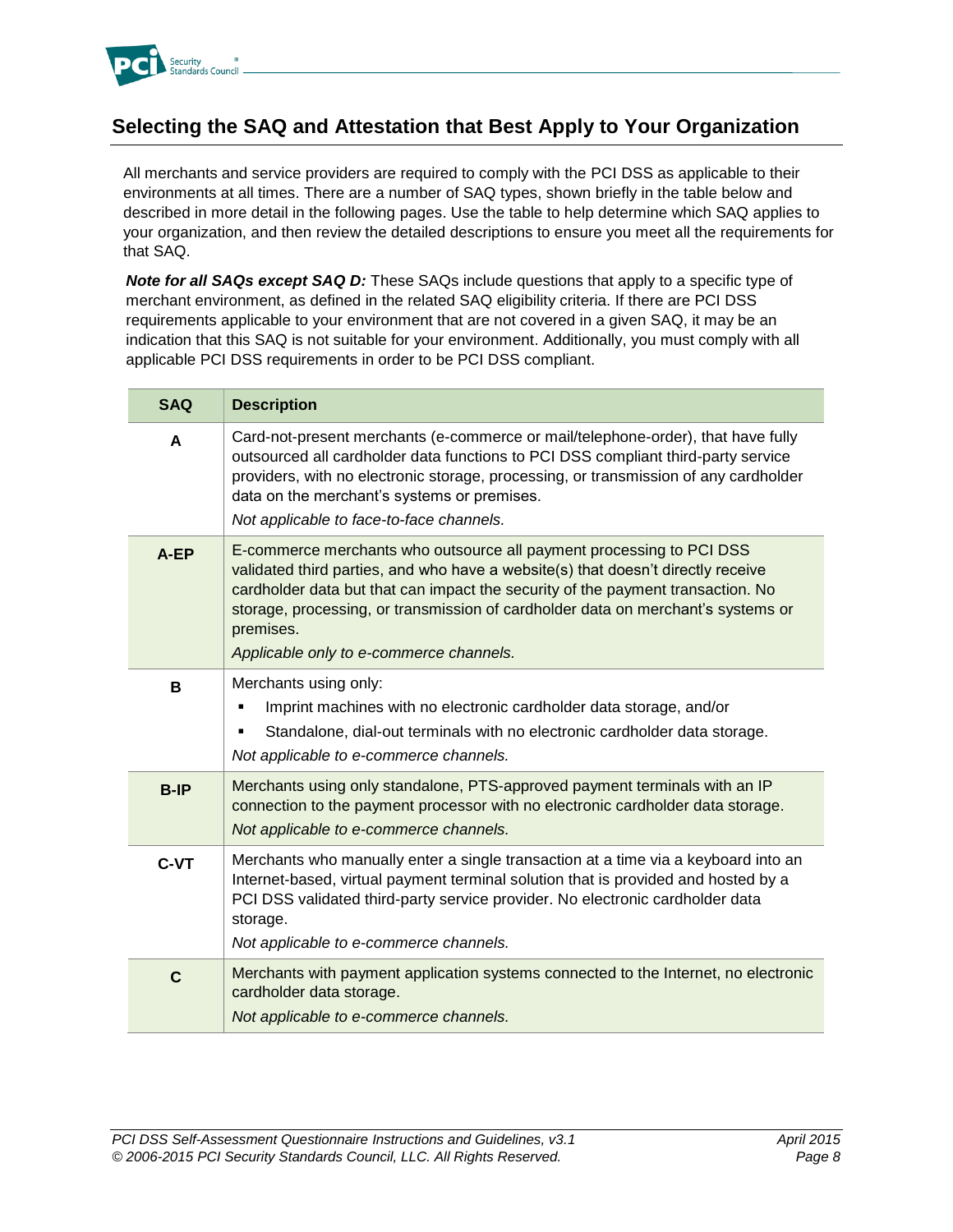

## <span id="page-10-0"></span>**Selecting the SAQ and Attestation that Best Apply to Your Organization**

All merchants and service providers are required to comply with the PCI DSS as applicable to their environments at all times. There are a number of SAQ types, shown briefly in the table below and described in more detail in the following pages. Use the table to help determine which SAQ applies to your organization, and then review the detailed descriptions to ensure you meet all the requirements for that SAQ.

*Note for all SAQs except SAQ D:* These SAQs include questions that apply to a specific type of merchant environment, as defined in the related SAQ eligibility criteria. If there are PCI DSS requirements applicable to your environment that are not covered in a given SAQ, it may be an indication that this SAQ is not suitable for your environment. Additionally, you must comply with all applicable PCI DSS requirements in order to be PCI DSS compliant.

| <b>SAQ</b>  | <b>Description</b>                                                                                                                                                                                                                                                                                                                                                                      |
|-------------|-----------------------------------------------------------------------------------------------------------------------------------------------------------------------------------------------------------------------------------------------------------------------------------------------------------------------------------------------------------------------------------------|
| A           | Card-not-present merchants (e-commerce or mail/telephone-order), that have fully<br>outsourced all cardholder data functions to PCI DSS compliant third-party service<br>providers, with no electronic storage, processing, or transmission of any cardholder<br>data on the merchant's systems or premises.<br>Not applicable to face-to-face channels.                                |
| A-EP        | E-commerce merchants who outsource all payment processing to PCI DSS<br>validated third parties, and who have a website(s) that doesn't directly receive<br>cardholder data but that can impact the security of the payment transaction. No<br>storage, processing, or transmission of cardholder data on merchant's systems or<br>premises.<br>Applicable only to e-commerce channels. |
| B           | Merchants using only:<br>Imprint machines with no electronic cardholder data storage, and/or<br>Ξ<br>Standalone, dial-out terminals with no electronic cardholder data storage.<br>٠<br>Not applicable to e-commerce channels.                                                                                                                                                          |
| <b>B-IP</b> | Merchants using only standalone, PTS-approved payment terminals with an IP<br>connection to the payment processor with no electronic cardholder data storage.<br>Not applicable to e-commerce channels.                                                                                                                                                                                 |
| C-VT        | Merchants who manually enter a single transaction at a time via a keyboard into an<br>Internet-based, virtual payment terminal solution that is provided and hosted by a<br>PCI DSS validated third-party service provider. No electronic cardholder data<br>storage.<br>Not applicable to e-commerce channels.                                                                         |
| $\mathbf C$ | Merchants with payment application systems connected to the Internet, no electronic<br>cardholder data storage.<br>Not applicable to e-commerce channels.                                                                                                                                                                                                                               |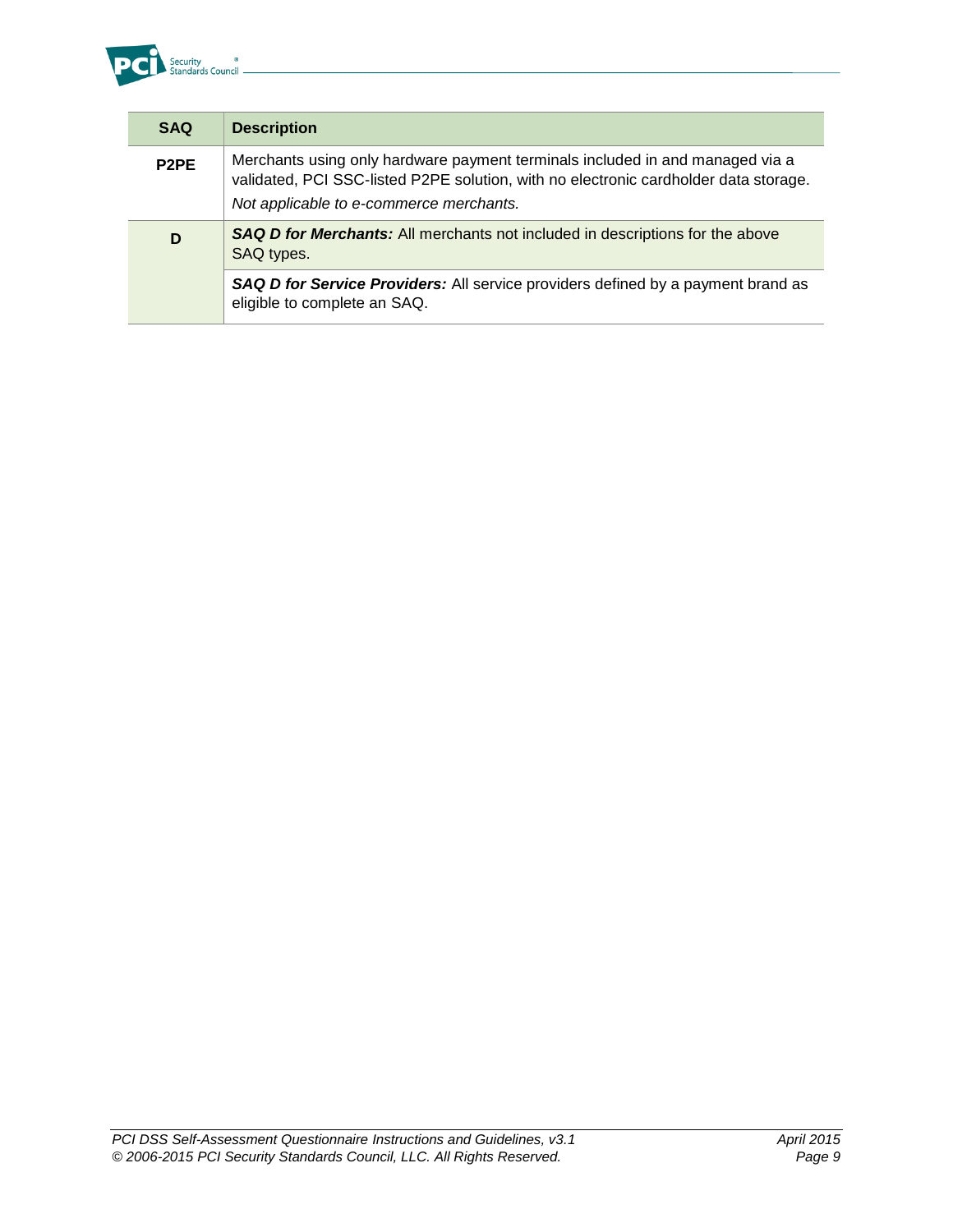

| <b>SAQ</b>                    | <b>Description</b>                                                                                                                                                                                               |  |
|-------------------------------|------------------------------------------------------------------------------------------------------------------------------------------------------------------------------------------------------------------|--|
| P <sub>2</sub> P <sub>E</sub> | Merchants using only hardware payment terminals included in and managed via a<br>validated, PCI SSC-listed P2PE solution, with no electronic cardholder data storage.<br>Not applicable to e-commerce merchants. |  |
| D                             | <b>SAQ D for Merchants:</b> All merchants not included in descriptions for the above<br>SAQ types.                                                                                                               |  |
|                               | SAQ D for Service Providers: All service providers defined by a payment brand as<br>eligible to complete an SAQ.                                                                                                 |  |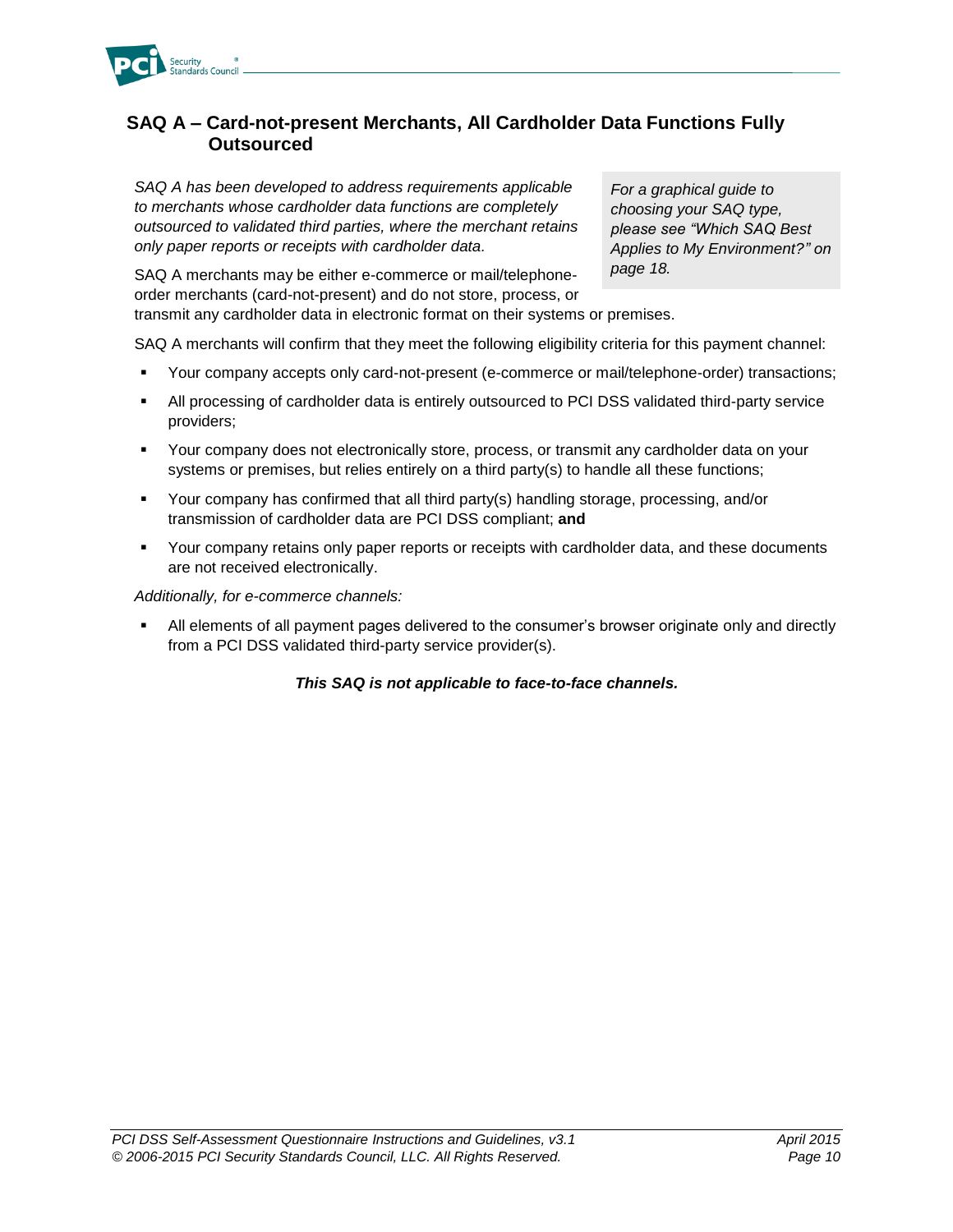

#### <span id="page-12-0"></span>**SAQ A – Card-not-present Merchants, All Cardholder Data Functions Fully Outsourced**

*SAQ A has been developed to address requirements applicable to merchants whose cardholder data functions are completely outsourced to validated third parties, where the merchant retains only paper reports or receipts with cardholder data.*

*For a graphical guide to choosing your SAQ type, please see "Which SAQ Best Applies to My Environment?" on page 18.*

SAQ A merchants may be either e-commerce or mail/telephoneorder merchants (card-not-present) and do not store, process, or transmit any cardholder data in electronic format on their systems or premises.

SAQ A merchants will confirm that they meet the following eligibility criteria for this payment channel:

- Your company accepts only card-not-present (e-commerce or mail/telephone-order) transactions;
- All processing of cardholder data is entirely outsourced to PCI DSS validated third-party service providers;
- Your company does not electronically store, process, or transmit any cardholder data on your systems or premises, but relies entirely on a third party(s) to handle all these functions;
- Your company has confirmed that all third party(s) handling storage, processing, and/or transmission of cardholder data are PCI DSS compliant; **and**
- **•** Your company retains only paper reports or receipts with cardholder data, and these documents are not received electronically.

*Additionally, for e-commerce channels:* 

 All elements of all payment pages delivered to the consumer's browser originate only and directly from a PCI DSS validated third-party service provider(s).

#### *This SAQ is not applicable to face-to-face channels.*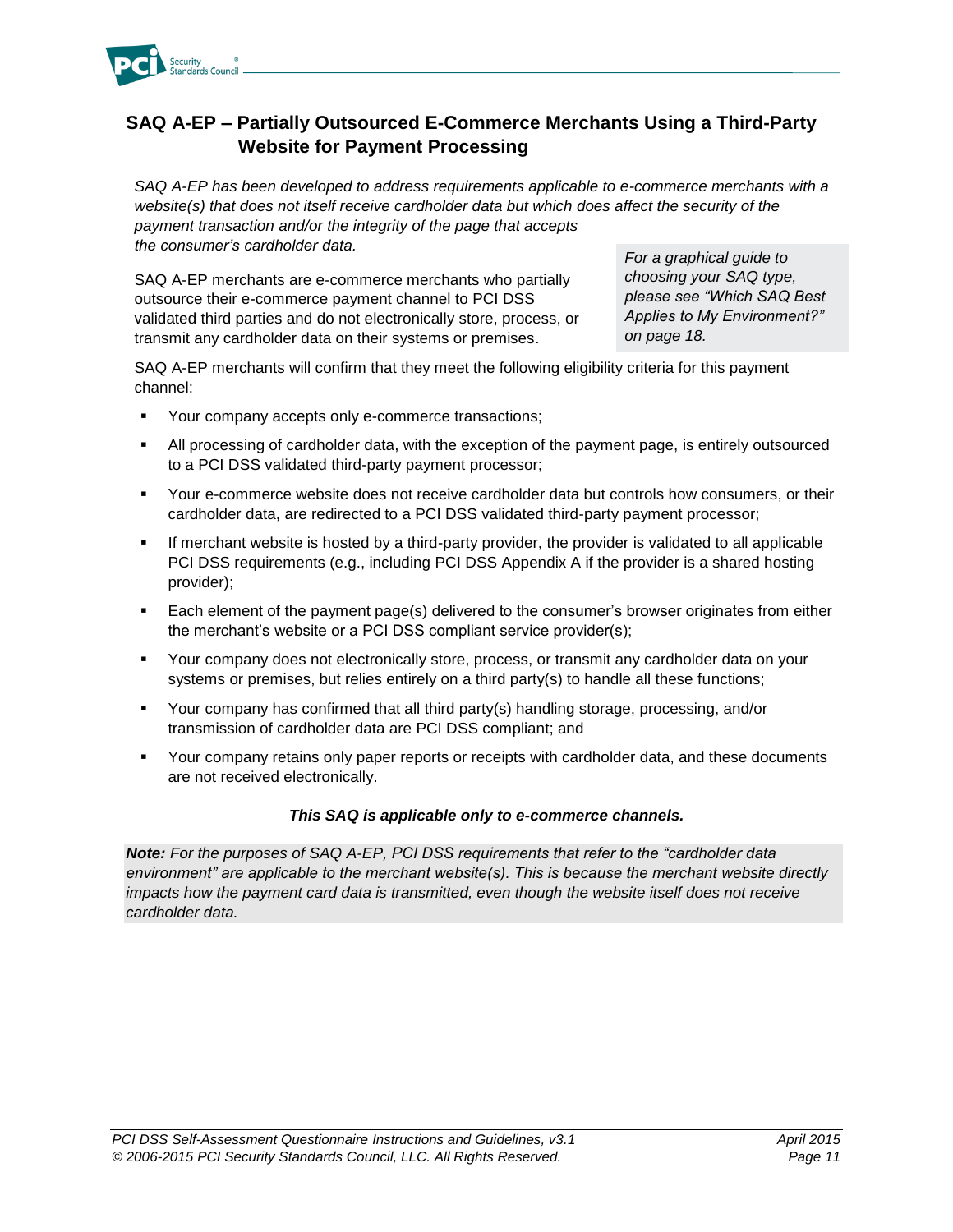

## <span id="page-13-0"></span>**SAQ A-EP – Partially Outsourced E-Commerce Merchants Using a Third-Party Website for Payment Processing**

*SAQ A-EP has been developed to address requirements applicable to e-commerce merchants with a website(s) that does not itself receive cardholder data but which does affect the security of the payment transaction and/or the integrity of the page that accepts the consumer's cardholder data.*

SAQ A-EP merchants are e-commerce merchants who partially outsource their e-commerce payment channel to PCI DSS validated third parties and do not electronically store, process, or transmit any cardholder data on their systems or premises.

*For a graphical guide to choosing your SAQ type, please see "Which SAQ Best Applies to My Environment?" on page 18.*

SAQ A-EP merchants will confirm that they meet the following eligibility criteria for this payment channel:

- Your company accepts only e-commerce transactions;
- All processing of cardholder data, with the exception of the payment page, is entirely outsourced to a PCI DSS validated third-party payment processor;
- Your e-commerce website does not receive cardholder data but controls how consumers, or their cardholder data, are redirected to a PCI DSS validated third-party payment processor;
- **If merchant website is hosted by a third-party provider, the provider is validated to all applicable** PCI DSS requirements (e.g., including PCI DSS Appendix A if the provider is a shared hosting provider);
- Each element of the payment page(s) delivered to the consumer's browser originates from either the merchant's website or a PCI DSS compliant service provider(s);
- Your company does not electronically store, process, or transmit any cardholder data on your systems or premises, but relies entirely on a third party(s) to handle all these functions;
- Your company has confirmed that all third party(s) handling storage, processing, and/or transmission of cardholder data are PCI DSS compliant; and
- Your company retains only paper reports or receipts with cardholder data, and these documents are not received electronically.

#### *This SAQ is applicable only to e-commerce channels.*

*Note: For the purposes of SAQ A-EP, PCI DSS requirements that refer to the "cardholder data environment" are applicable to the merchant website(s). This is because the merchant website directly impacts how the payment card data is transmitted, even though the website itself does not receive cardholder data.*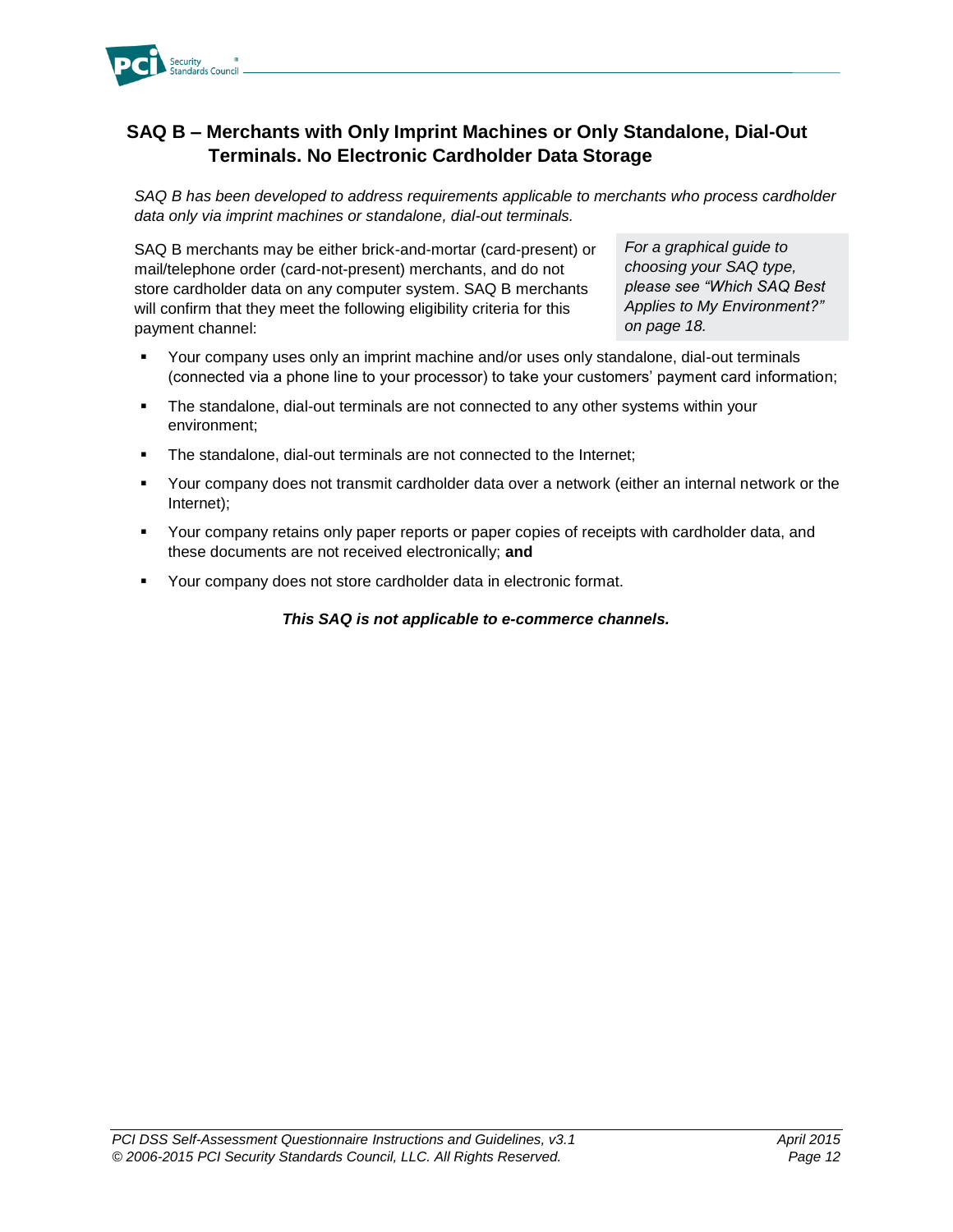

## <span id="page-14-0"></span>**SAQ B – Merchants with Only Imprint Machines or Only Standalone, Dial-Out Terminals. No Electronic Cardholder Data Storage**

*SAQ B has been developed to address requirements applicable to merchants who process cardholder data only via imprint machines or standalone, dial-out terminals.*

SAQ B merchants may be either brick-and-mortar (card-present) or mail/telephone order (card-not-present) merchants, and do not store cardholder data on any computer system. SAQ B merchants will confirm that they meet the following eligibility criteria for this payment channel:

*For a graphical guide to choosing your SAQ type, please see "Which SAQ Best Applies to My Environment?" on page 18.*

- Your company uses only an imprint machine and/or uses only standalone, dial-out terminals (connected via a phone line to your processor) to take your customers' payment card information;
- The standalone, dial-out terminals are not connected to any other systems within your environment;
- The standalone, dial-out terminals are not connected to the Internet;
- Your company does not transmit cardholder data over a network (either an internal network or the Internet);
- Your company retains only paper reports or paper copies of receipts with cardholder data, and these documents are not received electronically; **and**
- Your company does not store cardholder data in electronic format.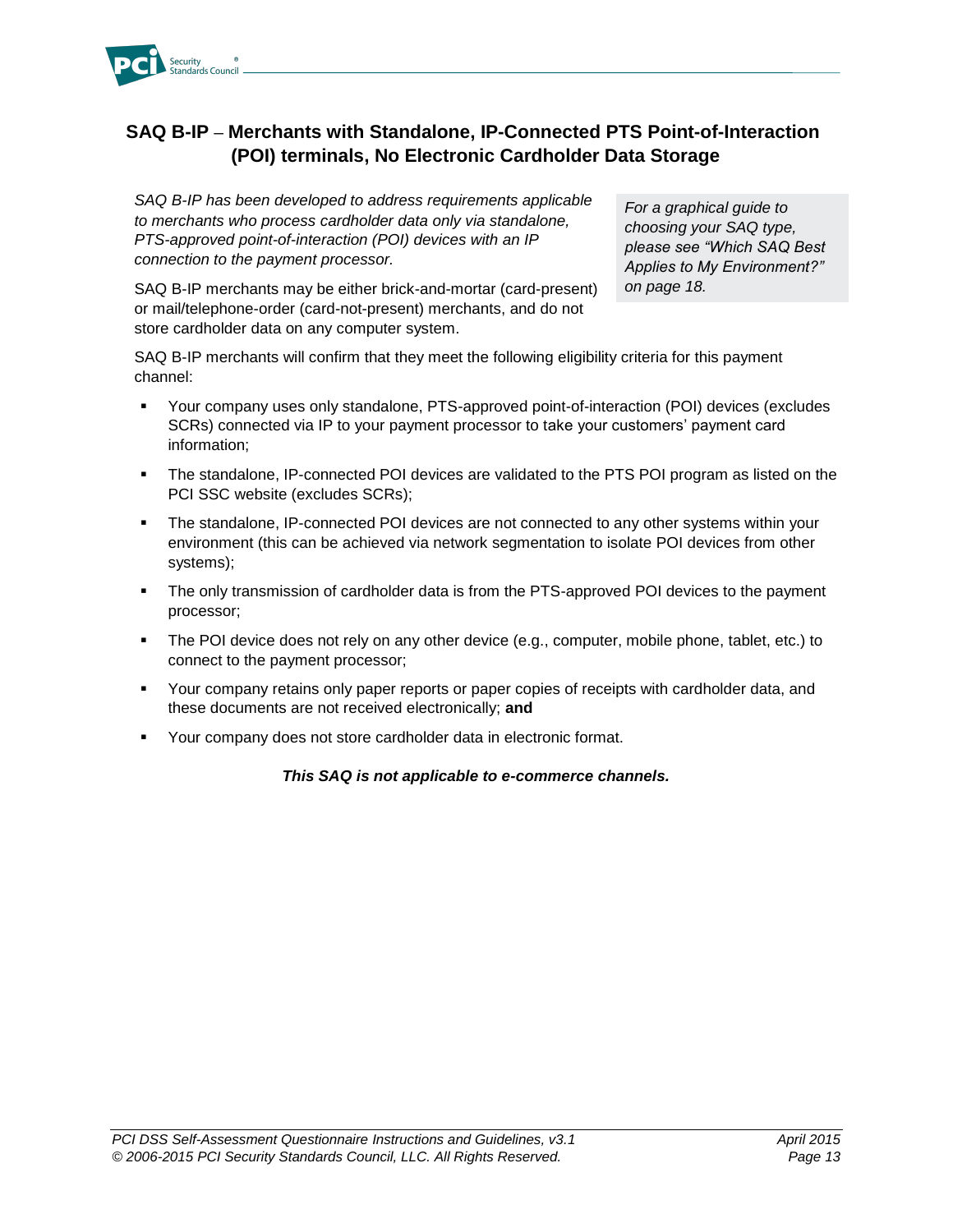

## <span id="page-15-0"></span>**SAQ B-IP – Merchants with Standalone, IP-Connected PTS Point-of-Interaction (POI) terminals, No Electronic Cardholder Data Storage**

*SAQ B-IP has been developed to address requirements applicable to merchants who process cardholder data only via standalone, PTS-approved point-of-interaction (POI) devices with an IP connection to the payment processor.*

SAQ B-IP merchants may be either brick-and-mortar (card-present) or mail/telephone-order (card-not-present) merchants, and do not store cardholder data on any computer system.

*For a graphical guide to choosing your SAQ type, please see "Which SAQ Best Applies to My Environment?" on page 18.*

SAQ B-IP merchants will confirm that they meet the following eligibility criteria for this payment channel:

- Your company uses only standalone, PTS-approved point-of-interaction (POI) devices (excludes SCRs) connected via IP to your payment processor to take your customers' payment card information;
- The standalone, IP-connected POI devices are validated to the PTS POI program as listed on the PCI SSC website (excludes SCRs);
- The standalone, IP-connected POI devices are not connected to any other systems within your environment (this can be achieved via network segmentation to isolate POI devices from other systems);
- The only transmission of cardholder data is from the PTS-approved POI devices to the payment processor;
- The POI device does not rely on any other device (e.g., computer, mobile phone, tablet, etc.) to connect to the payment processor;
- Your company retains only paper reports or paper copies of receipts with cardholder data, and these documents are not received electronically; **and**
- Your company does not store cardholder data in electronic format.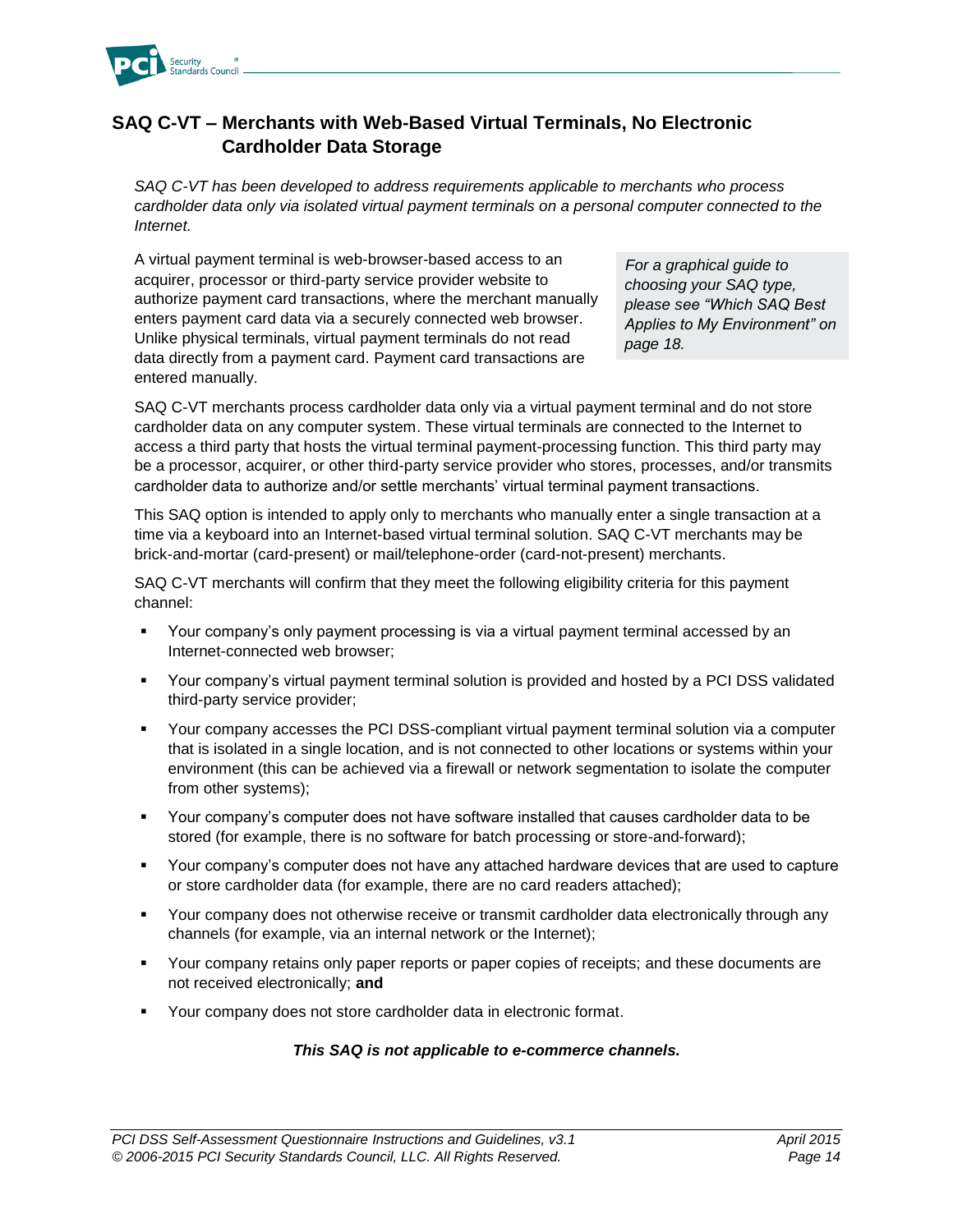

## <span id="page-16-0"></span>**SAQ C-VT – Merchants with Web-Based Virtual Terminals, No Electronic Cardholder Data Storage**

*SAQ C-VT has been developed to address requirements applicable to merchants who process cardholder data only via isolated virtual payment terminals on a personal computer connected to the Internet.* 

A virtual payment terminal is web-browser-based access to an acquirer, processor or third-party service provider website to authorize payment card transactions, where the merchant manually enters payment card data via a securely connected web browser. Unlike physical terminals, virtual payment terminals do not read data directly from a payment card. Payment card transactions are entered manually.

*For a graphical guide to choosing your SAQ type, please see "Which SAQ Best Applies to My Environment" on page 18.*

SAQ C-VT merchants process cardholder data only via a virtual payment terminal and do not store cardholder data on any computer system. These virtual terminals are connected to the Internet to access a third party that hosts the virtual terminal payment-processing function. This third party may be a processor, acquirer, or other third-party service provider who stores, processes, and/or transmits cardholder data to authorize and/or settle merchants' virtual terminal payment transactions.

This SAQ option is intended to apply only to merchants who manually enter a single transaction at a time via a keyboard into an Internet-based virtual terminal solution. SAQ C-VT merchants may be brick-and-mortar (card-present) or mail/telephone-order (card-not-present) merchants.

SAQ C-VT merchants will confirm that they meet the following eligibility criteria for this payment channel:

- Your company's only payment processing is via a virtual payment terminal accessed by an Internet-connected web browser;
- Your company's virtual payment terminal solution is provided and hosted by a PCI DSS validated third-party service provider;
- Your company accesses the PCI DSS-compliant virtual payment terminal solution via a computer that is isolated in a single location, and is not connected to other locations or systems within your environment (this can be achieved via a firewall or network segmentation to isolate the computer from other systems);
- Your company's computer does not have software installed that causes cardholder data to be stored (for example, there is no software for batch processing or store-and-forward);
- Your company's computer does not have any attached hardware devices that are used to capture or store cardholder data (for example, there are no card readers attached);
- **•** Your company does not otherwise receive or transmit cardholder data electronically through any channels (for example, via an internal network or the Internet);
- Your company retains only paper reports or paper copies of receipts; and these documents are not received electronically; **and**
- Your company does not store cardholder data in electronic format.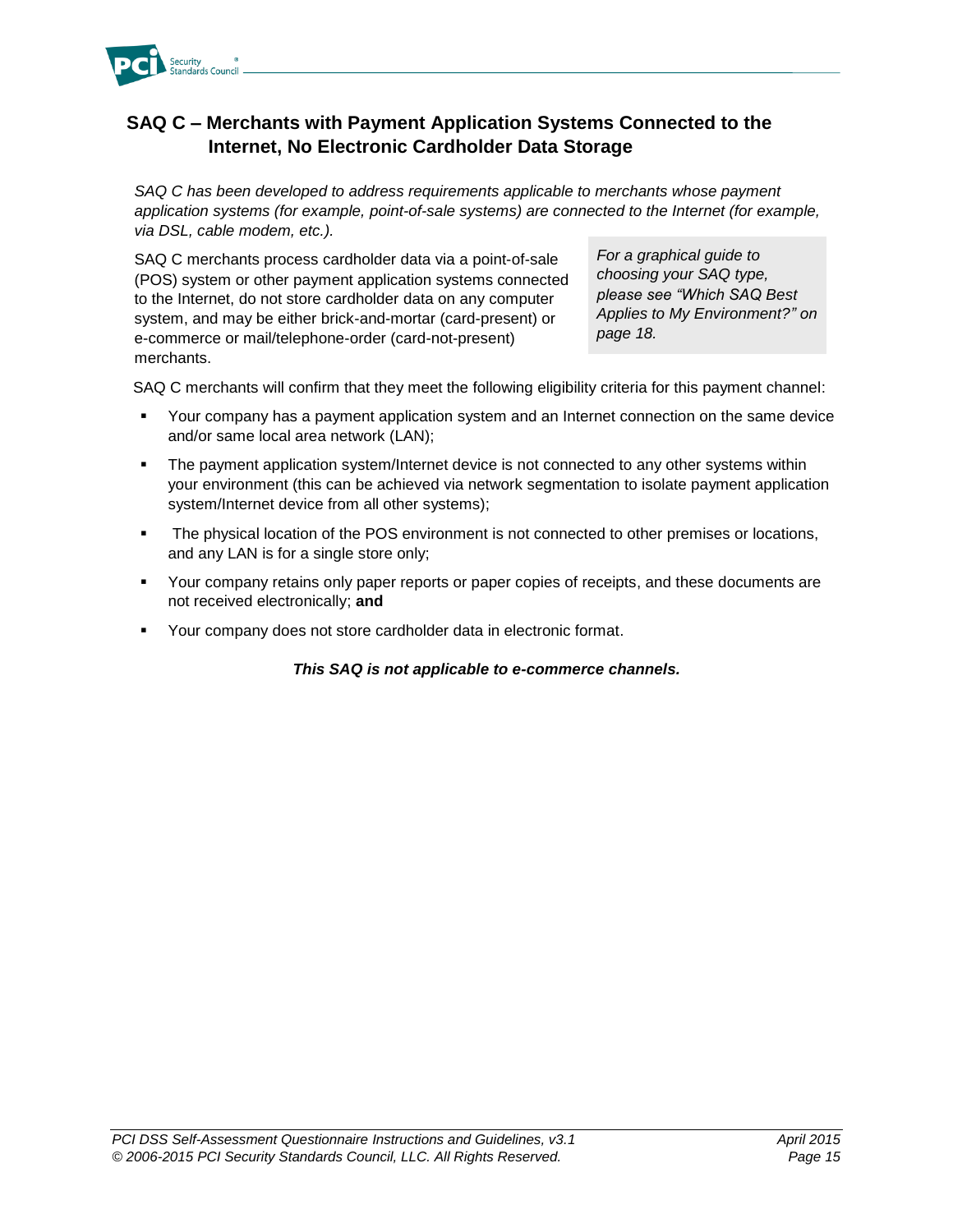

## <span id="page-17-0"></span>**SAQ C – Merchants with Payment Application Systems Connected to the Internet, No Electronic Cardholder Data Storage**

*SAQ C has been developed to address requirements applicable to merchants whose payment application systems (for example, point-of-sale systems) are connected to the Internet (for example, via DSL, cable modem, etc.).*

SAQ C merchants process cardholder data via a point-of-sale (POS) system or other payment application systems connected to the Internet, do not store cardholder data on any computer system, and may be either brick-and-mortar (card-present) or e-commerce or mail/telephone-order (card-not-present) merchants.

*For a graphical guide to choosing your SAQ type, please see "Which SAQ Best Applies to My Environment?" on page 18.*

SAQ C merchants will confirm that they meet the following eligibility criteria for this payment channel:

- Your company has a payment application system and an Internet connection on the same device and/or same local area network (LAN);
- The payment application system/Internet device is not connected to any other systems within your environment (this can be achieved via network segmentation to isolate payment application system/Internet device from all other systems);
- **The physical location of the POS environment is not connected to other premises or locations,** and any LAN is for a single store only;
- Your company retains only paper reports or paper copies of receipts, and these documents are not received electronically; **and**
- Your company does not store cardholder data in electronic format.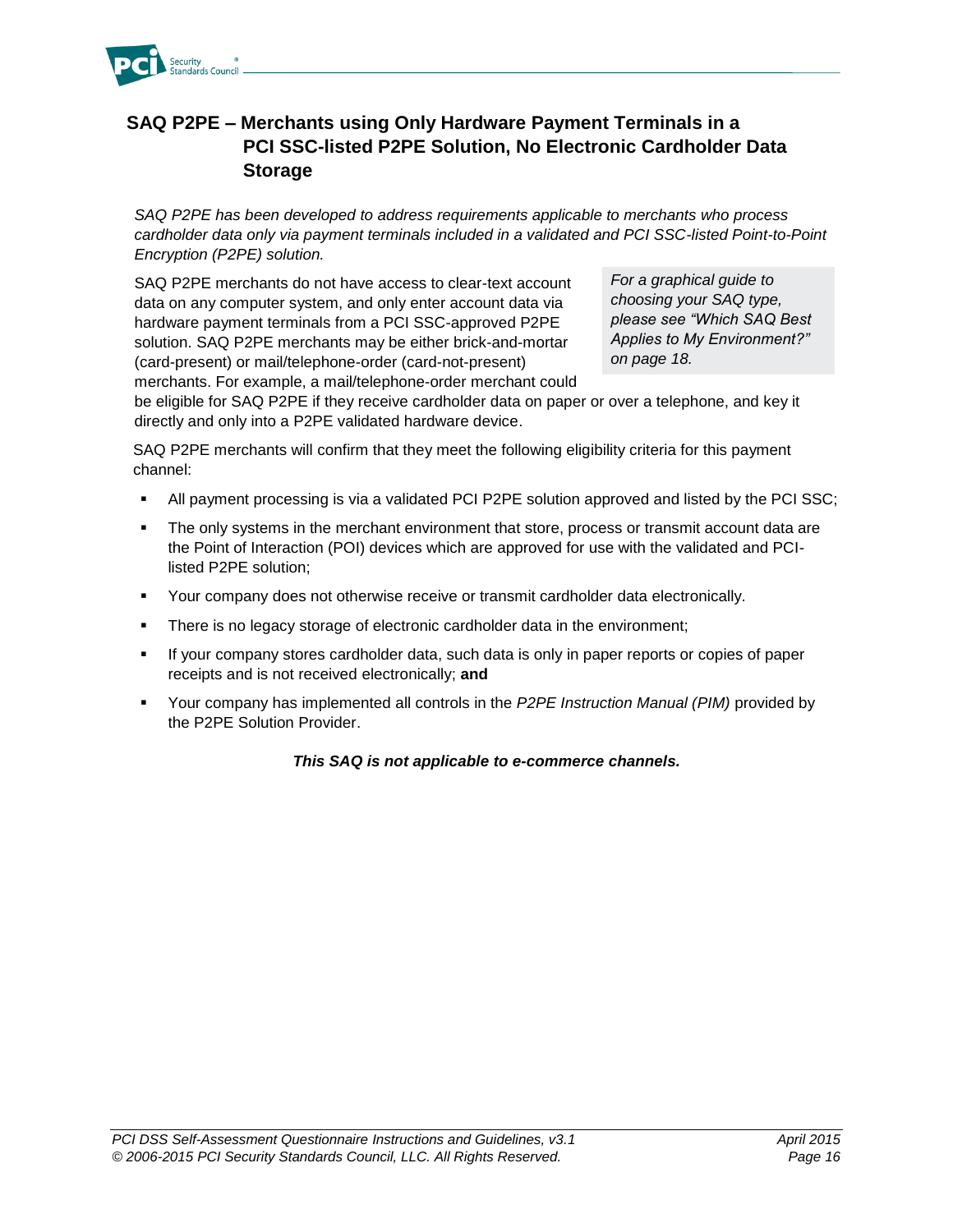

## <span id="page-18-0"></span>**SAQ P2PE – Merchants using Only Hardware Payment Terminals in a PCI SSC-listed P2PE Solution, No Electronic Cardholder Data Storage**

*SAQ P2PE has been developed to address requirements applicable to merchants who process*  cardholder data only via payment terminals included in a validated and PCI SSC-listed Point-to-Point *Encryption (P2PE) solution.*

SAQ P2PE merchants do not have access to clear-text account data on any computer system, and only enter account data via hardware payment terminals from a PCI SSC-approved P2PE solution. SAQ P2PE merchants may be either brick-and-mortar (card-present) or mail/telephone-order (card-not-present) merchants. For example, a mail/telephone-order merchant could

*For a graphical guide to choosing your SAQ type, please see "Which SAQ Best Applies to My Environment?" on page 18.*

be eligible for SAQ P2PE if they receive cardholder data on paper or over a telephone, and key it directly and only into a P2PE validated hardware device.

SAQ P2PE merchants will confirm that they meet the following eligibility criteria for this payment channel:

- All payment processing is via a validated PCI P2PE solution approved and listed by the PCI SSC;
- **The only systems in the merchant environment that store, process or transmit account data are** the Point of Interaction (POI) devices which are approved for use with the validated and PCIlisted P2PE solution;
- Your company does not otherwise receive or transmit cardholder data electronically.
- **There is no legacy storage of electronic cardholder data in the environment;**
- If your company stores cardholder data, such data is only in paper reports or copies of paper receipts and is not received electronically; **and**
- Your company has implemented all controls in the *P2PE Instruction Manual (PIM)* provided by the P2PE Solution Provider.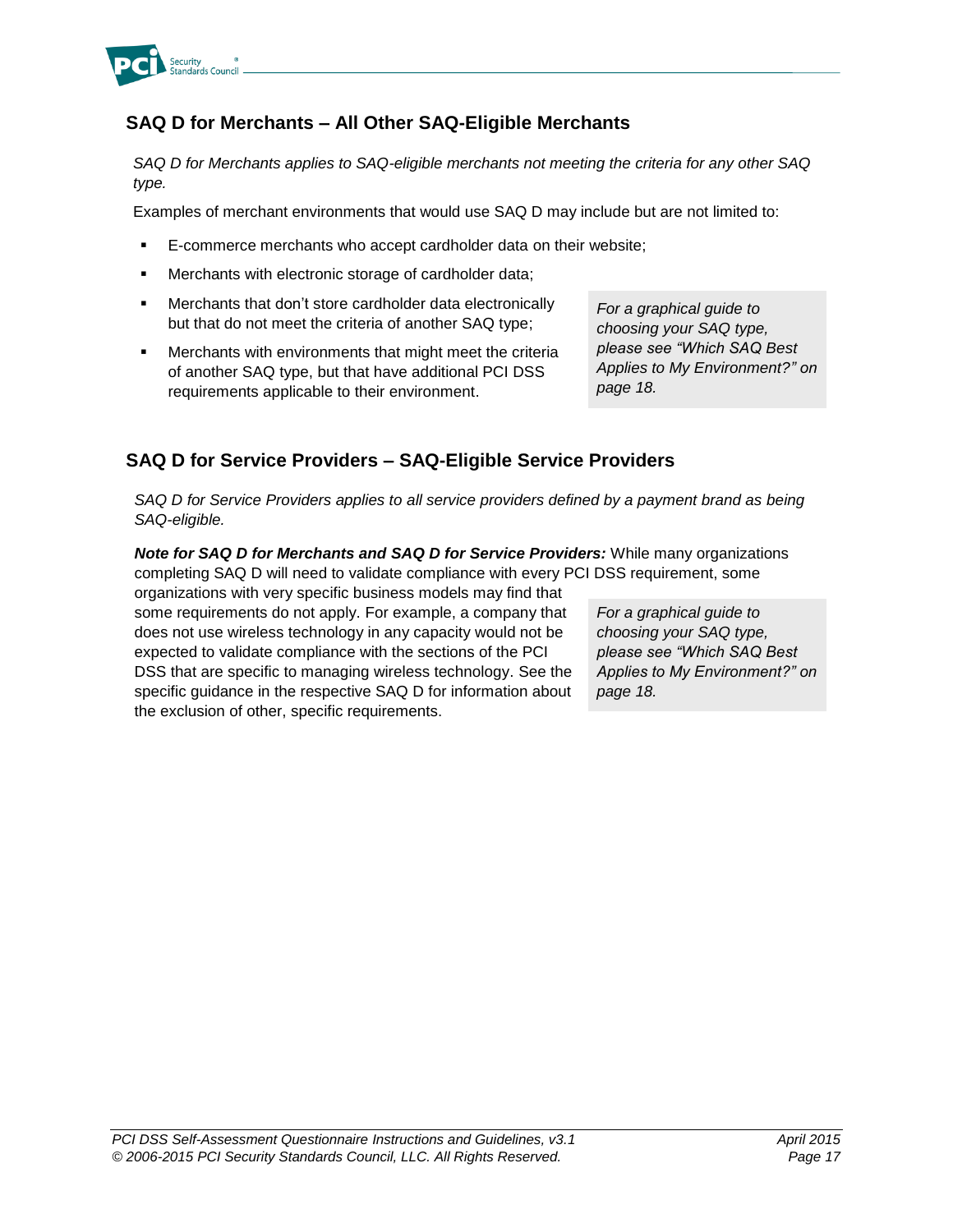

## <span id="page-19-0"></span>**SAQ D for Merchants – All Other SAQ-Eligible Merchants**

*SAQ D for Merchants applies to SAQ-eligible merchants not meeting the criteria for any other SAQ type.*

Examples of merchant environments that would use SAQ D may include but are not limited to:

- E-commerce merchants who accept cardholder data on their website;
- Merchants with electronic storage of cardholder data;
- Merchants that don't store cardholder data electronically but that do not meet the criteria of another SAQ type;
- Merchants with environments that might meet the criteria of another SAQ type, but that have additional PCI DSS requirements applicable to their environment.

*For a graphical guide to choosing your SAQ type, please see "Which SAQ Best Applies to My Environment?" on page 18.*

#### <span id="page-19-1"></span>**SAQ D for Service Providers – SAQ-Eligible Service Providers**

*SAQ D for Service Providers applies to all service providers defined by a payment brand as being SAQ-eligible.*

*Note for SAQ D for Merchants and SAQ D for Service Providers:* While many organizations completing SAQ D will need to validate compliance with every PCI DSS requirement, some

organizations with very specific business models may find that some requirements do not apply. For example, a company that does not use wireless technology in any capacity would not be expected to validate compliance with the sections of the PCI DSS that are specific to managing wireless technology. See the specific guidance in the respective SAQ D for information about the exclusion of other, specific requirements.

*For a graphical guide to choosing your SAQ type, please see "Which SAQ Best Applies to My Environment?" on page 18.*